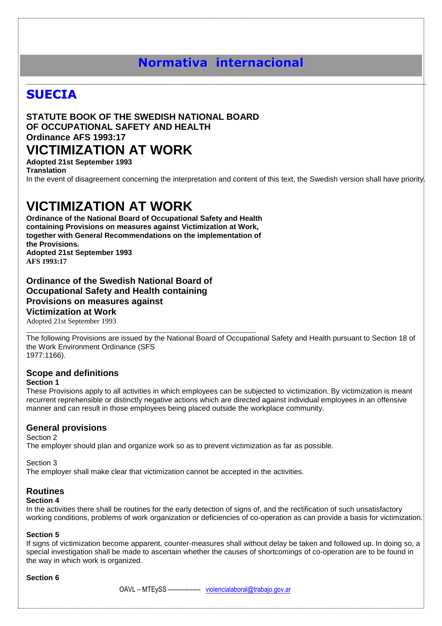# **Normativa internacional**

# **SUECIA**

# **STATUTE BOOK OF THE SWEDISH NATIONAL BOARD OF OCCUPATIONAL SAFETY AND HEALTH Ordinance AFS 1993:17**

# **VICTIMIZATION AT WORK**

**Adopted 21st September 1993 Translation** In the event of disagreement concerning the interpretation and content of this text, the Swedish version shall have priority.

# **VICTIMIZATION AT WORK**

**Ordinance of the National Board of Occupational Safety and Health containing Provisions on measures against Victimization at Work, together with General Recommendations on the implementation of the Provisions. Adopted 21st September 1993**

\_\_\_\_\_\_\_\_\_\_\_\_\_\_\_\_\_\_\_\_\_\_\_\_\_\_\_\_\_\_\_\_\_\_\_\_\_\_\_\_\_\_\_\_\_\_\_\_\_\_\_\_\_\_\_\_\_\_\_\_\_\_

**AFS 1993:17**

# **Ordinance of the Swedish National Board of Occupational Safety and Health containing Provisions on measures against Victimization at Work**

Adopted 21st September 1993

The following Provisions are issued by the National Board of Occupational Safety and Health pursuant to Section 18 of the Work Environment Ordinance (SFS 1977:1166).

# **Scope and definitions**

## **Section 1**

These Provisions apply to all activities in which employees can be subjected to victimization. By victimization is meant recurrent reprehensible or distinctly negative actions which are directed against individual employees in an offensive manner and can result in those employees being placed outside the workplace community.

## **General provisions**

Section 2

The employer should plan and organize work so as to prevent victimization as far as possible.

Section 3

The employer shall make clear that victimization cannot be accepted in the activities.

# **Routines**

## **Section 4**

In the activities there shall be routines for the early detection of signs of, and the rectification of such unsatisfactory working conditions, problems of work organization or deficiencies of co-operation as can provide a basis for victimization.

## **Section 5**

If signs of victimization become apparent, counter-measures shall without delay be taken and followed up. In doing so, a special investigation shall be made to ascertain whether the causes of shortcomings of co-operation are to be found in the way in which work is organized.

## **Section 6**

OAVL - MTEySS ---------------- [violencialaboral@trabajo.gov.ar](mailto:violencialaboral@trabajo.gov.ar)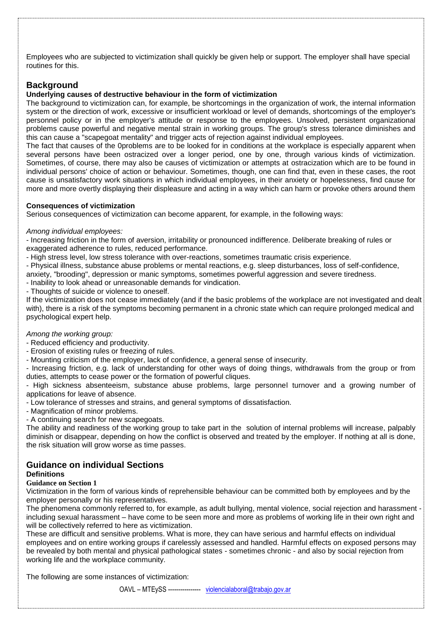Employees who are subjected to victimization shall quickly be given help or support. The employer shall have special routines for this.

# **Background**

### **Underlying causes of destructive behaviour in the form of victimization**

The background to victimization can, for example, be shortcomings in the organization of work, the internal information system or the direction of work, excessive or insufficient workload or level of demands, shortcomings of the employer's personnel policy or in the employer's attitude or response to the employees. Unsolved, persistent organizational problems cause powerful and negative mental strain in working groups. The group's stress tolerance diminishes and this can cause a "scapegoat mentality" and trigger acts of rejection against individual employees.

The fact that causes of the 0problems are to be looked for in conditions at the workplace is especially apparent when several persons have been ostracized over a longer period, one by one, through various kinds of victimization. Sometimes, of course, there may also be causes of victimization or attempts at ostracization which are to be found in individual persons' choice of action or behaviour. Sometimes, though, one can find that, even in these cases, the root cause is unsatisfactory work situations in which individual employees, in their anxiety or hopelessness, find cause for more and more overtly displaying their displeasure and acting in a way which can harm or provoke others around them

### **Consequences of victimization**

Serious consequences of victimization can become apparent, for example, in the following ways:

### *Among individual employees:*

- Increasing friction in the form of aversion, irritability or pronounced indifference. Deliberate breaking of rules or exaggerated adherence to rules, reduced performance.

- High stress level, low stress tolerance with over-reactions, sometimes traumatic crisis experience.

- Physical illness, substance abuse problems or mental reactions, e.g. sleep disturbances, loss of self-confidence,

anxiety, "brooding", depression or manic symptoms, sometimes powerful aggression and severe tiredness.

- Inability to look ahead or unreasonable demands for vindication.

- Thoughts of suicide or violence to oneself.

If the victimization does not cease immediately (and if the basic problems of the workplace are not investigated and dealt with), there is a risk of the symptoms becoming permanent in a chronic state which can require prolonged medical and psychological expert help.

### *Among the working group:*

- Reduced efficiency and productivity.

- Erosion of existing rules or freezing of rules.

- Mounting criticism of the employer, lack of confidence, a general sense of insecurity.

- Increasing friction, e.g. lack of understanding for other ways of doing things, withdrawals from the group or from duties, attempts to cease power or the formation of powerful cliques.

- High sickness absenteeism, substance abuse problems, large personnel turnover and a growing number of applications for leave of absence.

- Low tolerance of stresses and strains, and general symptoms of dissatisfaction.

- Magnification of minor problems.

- A continuing search for new scapegoats.

The ability and readiness of the working group to take part in the solution of internal problems will increase, palpably diminish or disappear, depending on how the conflict is observed and treated by the employer. If nothing at all is done, the risk situation will grow worse as time passes.

#### **Guidance on individual Sections Definitions**

## **Guidance on Section 1**

Victimization in the form of various kinds of reprehensible behaviour can be committed both by employees and by the employer personally or his representatives.

The phenomena commonly referred to, for example, as adult bullying, mental violence, social rejection and harassment including sexual harassment – have come to be seen more and more as problems of working life in their own right and will be collectively referred to here as victimization.

These are difficult and sensitive problems. What is more, they can have serious and harmful effects on individual employees and on entire working groups if carelessly assessed and handled. Harmful effects on exposed persons may be revealed by both mental and physical pathological states - sometimes chronic - and also by social rejection from working life and the workplace community.

The following are some instances of victimization:

OAVL - MTEySS ---------------- [violencialaboral@trabajo.gov.ar](mailto:violencialaboral@trabajo.gov.ar)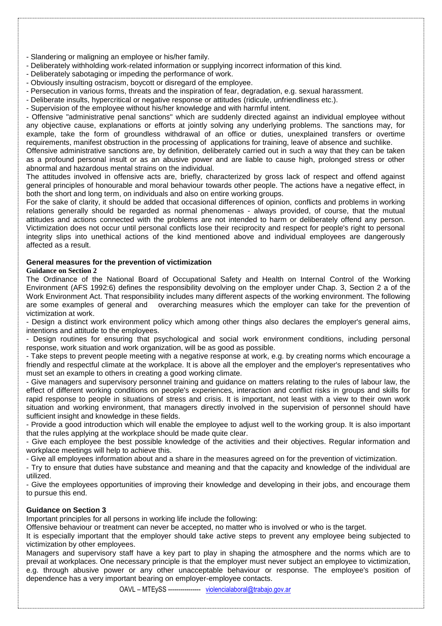- Slandering or maligning an employee or his/her family.
- Deliberately withholding work-related information or supplying incorrect information of this kind.
- Deliberately sabotaging or impeding the performance of work.
- Obviously insulting ostracism, boycott or disregard of the employee.
- Persecution in various forms, threats and the inspiration of fear, degradation, e.g. sexual harassment.
- Deliberate insults, hypercritical or negative response or attitudes (ridicule, unfriendliness etc.).
- Supervision of the employee without his/her knowledge and with harmful intent.

- Offensive "administrative penal sanctions" which are suddenly directed against an individual employee without any objective cause, explanations or efforts at jointly solving any underlying problems. The sanctions may, for example, take the form of groundless withdrawal of an office or duties, unexplained transfers or overtime requirements, manifest obstruction in the processing of applications for training, leave of absence and suchlike.

Offensive administrative sanctions are, by definition, deliberately carried out in such a way that they can be taken as a profound personal insult or as an abusive power and are liable to cause high, prolonged stress or other abnormal and hazardous mental strains on the individual.

The attitudes involved in offensive acts are, briefly, characterized by gross lack of respect and offend against general principles of honourable and moral behaviour towards other people. The actions have a negative effect, in both the short and long term, on individuals and also on entire working groups.

For the sake of clarity, it should be added that occasional differences of opinion, conflicts and problems in working relations generally should be regarded as normal phenomenas - always provided, of course, that the mutual attitudes and actions connected with the problems are not intended to harm or deliberately offend any person. Victimization does not occur until personal conflicts lose their reciprocity and respect for people's right to personal integrity slips into unethical actions of the kind mentioned above and individual employees are dangerously affected as a result.

#### **General measures for the prevention of victimization**

#### **Guidance on Section 2**

The Ordinance of the National Board of Occupational Safety and Health on Internal Control of the Working Environment (AFS 1992:6) defines the responsibility devolving on the employer under Chap. 3, Section 2 a of the Work Environment Act. That responsibility includes many different aspects of the working environment. The following are some examples of general and overarching measures which the employer can take for the prevention of victimization at work.

- Design a distinct work environment policy which among other things also declares the employer's general aims, intentions and attitude to the employees.

- Design routines for ensuring that psychological and social work environment conditions, including personal response, work situation and work organization, will be as good as possible.

- Take steps to prevent people meeting with a negative response at work, e.g. by creating norms which encourage a friendly and respectful climate at the workplace. It is above all the employer and the employer's representatives who must set an example to others in creating a good working climate.

- Give managers and supervisory personnel training and guidance on matters relating to the rules of labour law, the effect of different working conditions on people's experiences, interaction and conflict risks in groups and skills for rapid response to people in situations of stress and crisis. It is important, not least with a view to their own work situation and working environment, that managers directly involved in the supervision of personnel should have sufficient insight and knowledge in these fields.

- Provide a good introduction which will enable the employee to adjust well to the working group. It is also important that the rules applying at the workplace should be made quite clear.

Give each employee the best possible knowledge of the activities and their objectives. Regular information and workplace meetings will help to achieve this.

- Give all employees information about and a share in the measures agreed on for the prevention of victimization.

- Try to ensure that duties have substance and meaning and that the capacity and knowledge of the individual are utilized.

- Give the employees opportunities of improving their knowledge and developing in their jobs, and encourage them to pursue this end.

#### **Guidance on Section 3**

Important principles for all persons in working life include the following:

Offensive behaviour or treatment can never be accepted, no matter who is involved or who is the target.

It is especially important that the employer should take active steps to prevent any employee being subjected to victimization by other employees.

Managers and supervisory staff have a key part to play in shaping the atmosphere and the norms which are to prevail at workplaces. One necessary principle is that the employer must never subject an employee to victimization, e.g. through abusive power or any other unacceptable behaviour or response. The employee's position of dependence has a very important bearing on employer-employee contacts.

OAVL – MTEySS ---------------- [violencialaboral@trabajo.gov.ar](mailto:violencialaboral@trabajo.gov.ar)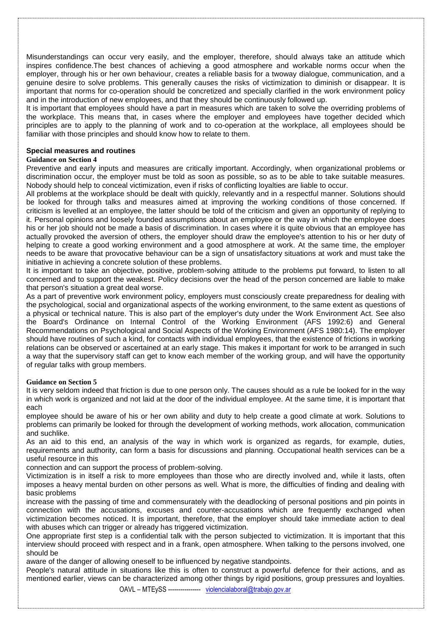Misunderstandings can occur very easily, and the employer, therefore, should always take an attitude which inspires confidence.The best chances of achieving a good atmosphere and workable norms occur when the employer, through his or her own behaviour, creates a reliable basis for a twoway dialogue, communication, and a genuine desire to solve problems. This generally causes the risks of victimization to diminish or disappear. It is important that norms for co-operation should be concretized and specially clarified in the work environment policy and in the introduction of new employees, and that they should be continuously followed up.

It is important that employees should have a part in measures which are taken to solve the overriding problems of the workplace. This means that, in cases where the employer and employees have together decided which principles are to apply to the planning of work and to co-operation at the workplace, all employees should be familiar with those principles and should know how to relate to them.

#### **Special measures and routines**

#### **Guidance on Section 4**

Preventive and early inputs and measures are critically important. Accordingly, when organizational problems or discrimination occur, the employer must be told as soon as possible, so as to be able to take suitable measures. Nobody should help to conceal victimization, even if risks of conflicting loyalties are liable to occur.

All problems at the workplace should be dealt with quickly, relevantly and in a respectful manner. Solutions should be looked for through talks and measures aimed at improving the working conditions of those concerned. If criticism is levelled at an employee, the latter should be told of the criticism and given an opportunity of replying to it. Personal opinions and loosely founded assumptions about an employee or the way in which the employee does his or her job should not be made a basis of discrimination. In cases where it is quite obvious that an employee has actually provoked the aversion of others, the employer should draw the employee's attention to his or her duty of helping to create a good working environment and a good atmosphere at work. At the same time, the employer needs to be aware that provocative behaviour can be a sign of unsatisfactory situations at work and must take the initiative in achieving a concrete solution of these problems.

It is important to take an objective, positive, problem-solving attitude to the problems put forward, to listen to all concerned and to support the weakest. Policy decisions over the head of the person concerned are liable to make that person's situation a great deal worse.

As a part of preventive work environment policy, employers must consciously create preparedness for dealing with the psychological, social and organizational aspects of the working environment, to the same extent as questions of a physical or technical nature. This is also part of the employer's duty under the Work Environment Act. See also the Board's Ordinance on Internal Control of the Working Environment (AFS 1992:6) and General Recommendations on Psychological and Social Aspects of the Working Environment (AFS 1980:14). The employer should have routines of such a kind, for contacts with individual employees, that the existence of frictions in working relations can be observed or ascertained at an early stage. This makes it important for work to be arranged in such a way that the supervisory staff can get to know each member of the working group, and will have the opportunity of regular talks with group members.

#### **Guidance on Section 5**

It is very seldom indeed that friction is due to one person only. The causes should as a rule be looked for in the way in which work is organized and not laid at the door of the individual employee. At the same time, it is important that each

employee should be aware of his or her own ability and duty to help create a good climate at work. Solutions to problems can primarily be looked for through the development of working methods, work allocation, communication and suchlike.

As an aid to this end, an analysis of the way in which work is organized as regards, for example, duties, requirements and authority, can form a basis for discussions and planning. Occupational health services can be a useful resource in this

connection and can support the process of problem-solving.

Victimization is in itself a risk to more employees than those who are directly involved and, while it lasts, often imposes a heavy mental burden on other persons as well. What is more, the difficulties of finding and dealing with basic problems

increase with the passing of time and commensurately with the deadlocking of personal positions and pin points in connection with the accusations, excuses and counter-accusations which are frequently exchanged when victimization becomes noticed. It is important, therefore, that the employer should take immediate action to deal with abuses which can trigger or already has triggered victimization.

One appropriate first step is a confidential talk with the person subjected to victimization. It is important that this interview should proceed with respect and in a frank, open atmosphere. When talking to the persons involved, one should be

aware of the danger of allowing oneself to be influenced by negative standpoints.

People's natural attitude in situations like this is often to construct a powerful defence for their actions, and as mentioned earlier, views can be characterized among other things by rigid positions, group pressures and loyalties.

OAVL – MTEySS ---------------- [violencialaboral@trabajo.gov.ar](mailto:violencialaboral@trabajo.gov.ar)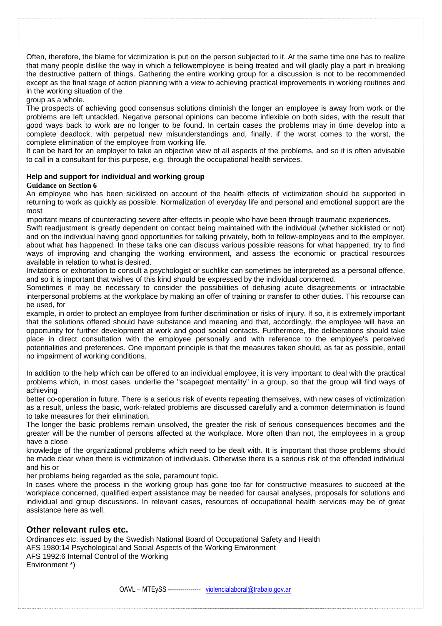Often, therefore, the blame for victimization is put on the person subjected to it. At the same time one has to realize that many people dislike the way in which a fellowemployee is being treated and will gladly play a part in breaking the destructive pattern of things. Gathering the entire working group for a discussion is not to be recommended except as the final stage of action planning with a view to achieving practical improvements in working routines and in the working situation of the

group as a whole.

The prospects of achieving good consensus solutions diminish the longer an employee is away from work or the problems are left untackled. Negative personal opinions can become inflexible on both sides, with the result that good ways back to work are no longer to be found. In certain cases the problems may in time develop into a complete deadlock, with perpetual new misunderstandings and, finally, if the worst comes to the worst, the complete elimination of the employee from working life.

It can be hard for an employer to take an objective view of all aspects of the problems, and so it is often advisable to call in a consultant for this purpose, e.g. through the occupational health services.

#### **Help and support for individual and working group**

#### **Guidance on Section 6**

An employee who has been sicklisted on account of the health effects of victimization should be supported in returning to work as quickly as possible. Normalization of everyday life and personal and emotional support are the most

important means of counteracting severe after-effects in people who have been through traumatic experiences.

Swift readjustment is greatly dependent on contact being maintained with the individual (whether sicklisted or not) and on the individual having good opportunities for talking privately, both to fellow-employees and to the employer, about what has happened. In these talks one can discuss various possible reasons for what happened, try to find ways of improving and changing the working environment, and assess the economic or practical resources available in relation to what is desired.

Invitations or exhortation to consult a psychologist or suchlike can sometimes be interpreted as a personal offence, and so it is important that wishes of this kind should be expressed by the individual concerned.

Sometimes it may be necessary to consider the possibilities of defusing acute disagreements or intractable interpersonal problems at the workplace by making an offer of training or transfer to other duties. This recourse can be used, for

example, in order to protect an employee from further discrimination or risks of injury. If so, it is extremely important that the solutions offered should have substance and meaning and that, accordingly, the employee will have an opportunity for further development at work and good social contacts. Furthermore, the deliberations should take place in direct consultation with the employee personally and with reference to the employee's perceived potentialities and preferences. One important principle is that the measures taken should, as far as possible, entail no impairment of working conditions.

In addition to the help which can be offered to an individual employee, it is very important to deal with the practical problems which, in most cases, underlie the "scapegoat mentality" in a group, so that the group will find ways of achieving

better co-operation in future. There is a serious risk of events repeating themselves, with new cases of victimization as a result, unless the basic, work-related problems are discussed carefully and a common determination is found to take measures for their elimination.

The longer the basic problems remain unsolved, the greater the risk of serious consequences becomes and the greater will be the number of persons affected at the workplace. More often than not, the employees in a group have a close

knowledge of the organizational problems which need to be dealt with. It is important that those problems should be made clear when there is victimization of individuals. Otherwise there is a serious risk of the offended individual and his or

her problems being regarded as the sole, paramount topic.

In cases where the process in the working group has gone too far for constructive measures to succeed at the workplace concerned, qualified expert assistance may be needed for causal analyses, proposals for solutions and individual and group discussions. In relevant cases, resources of occupational health services may be of great assistance here as well.

## **Other relevant rules etc.**

Ordinances etc. issued by the Swedish National Board of Occupational Safety and Health AFS 1980:14 Psychological and Social Aspects of the Working Environment AFS 1992:6 Internal Control of the Working Environment \*)

OAVL - MTEySS ---------------- [violencialaboral@trabajo.gov.ar](mailto:violencialaboral@trabajo.gov.ar)